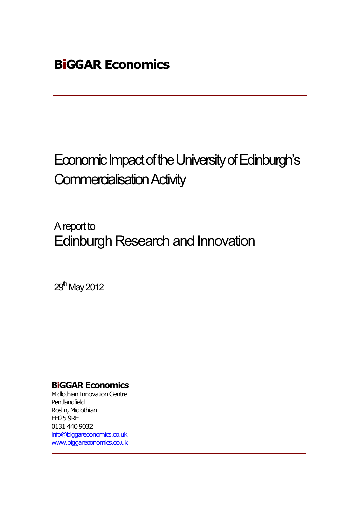# Economic Impact of the University of Edinburgh's Commercialisation Activity

A report to Edinburgh Research and Innovation

29<sup>th</sup> May 2012

### **BiGGAR Economics**

Midlothian Innovation Centre Pentlandfield Roslin, Midlothian EH25 9RE 0131 440 9032 info@biggareconomics.co.uk www.biggareconomics.co.uk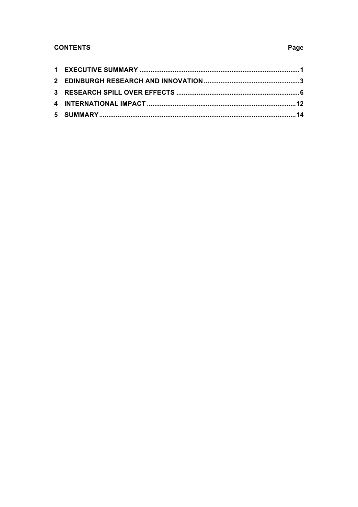#### **CONTENTS**

#### Page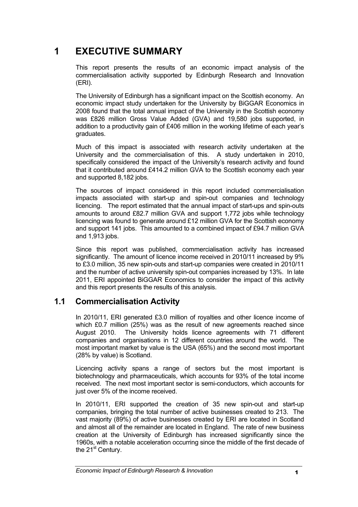# **1 EXECUTIVE SUMMARY**

This report presents the results of an economic impact analysis of the commercialisation activity supported by Edinburgh Research and Innovation (ERI).

The University of Edinburgh has a significant impact on the Scottish economy. An economic impact study undertaken for the University by BiGGAR Economics in 2008 found that the total annual impact of the University in the Scottish economy was £826 million Gross Value Added (GVA) and 19,580 jobs supported, in addition to a productivity gain of £406 million in the working lifetime of each year's graduates.

Much of this impact is associated with research activity undertaken at the University and the commercialisation of this. A study undertaken in 2010, specifically considered the impact of the University's research activity and found that it contributed around £414.2 million GVA to the Scottish economy each year and supported 8,182 jobs.

The sources of impact considered in this report included commercialisation impacts associated with start-up and spin-out companies and technology licencing. The report estimated that the annual impact of start-ups and spin-outs amounts to around £82.7 million GVA and support 1,772 jobs while technology licencing was found to generate around £12 million GVA for the Scottish economy and support 141 jobs. This amounted to a combined impact of £94.7 million GVA and 1,913 jobs.

Since this report was published, commercialisation activity has increased significantly. The amount of licence income received in 2010/11 increased by 9% to £3.0 million, 35 new spin-outs and start-up companies were created in 2010/11 and the number of active university spin-out companies increased by 13%. In late 2011, ERI appointed BiGGAR Economics to consider the impact of this activity and this report presents the results of this analysis.

### **1.1 Commercialisation Activity**

In 2010/11, ERI generated £3.0 million of royalties and other licence income of which £0.7 million (25%) was as the result of new agreements reached since August 2010. The University holds licence agreements with 71 different companies and organisations in 12 different countries around the world. The most important market by value is the USA (65%) and the second most important (28% by value) is Scotland.

Licencing activity spans a range of sectors but the most important is biotechnology and pharmaceuticals, which accounts for 93% of the total income received. The next most important sector is semi-conductors, which accounts for just over 5% of the income received.

In 2010/11, ERI supported the creation of 35 new spin-out and start-up companies, bringing the total number of active businesses created to 213. The vast majority (89%) of active businesses created by ERI are located in Scotland and almost all of the remainder are located in England. The rate of new business creation at the University of Edinburgh has increased significantly since the 1960s, with a notable acceleration occurring since the middle of the first decade of the 21<sup>st</sup> Century.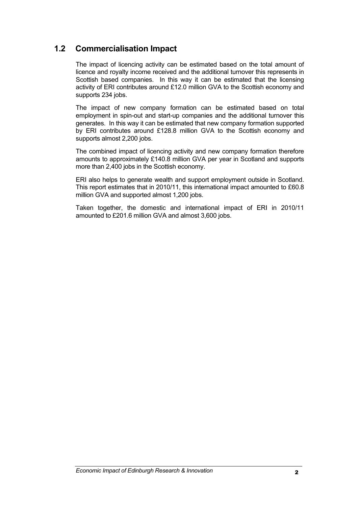#### **1.2 Commercialisation Impact**

The impact of licencing activity can be estimated based on the total amount of licence and royalty income received and the additional turnover this represents in Scottish based companies. In this way it can be estimated that the licensing activity of ERI contributes around £12.0 million GVA to the Scottish economy and supports 234 jobs.

The impact of new company formation can be estimated based on total employment in spin-out and start-up companies and the additional turnover this generates. In this way it can be estimated that new company formation supported by ERI contributes around £128.8 million GVA to the Scottish economy and supports almost 2,200 jobs.

The combined impact of licencing activity and new company formation therefore amounts to approximately £140.8 million GVA per year in Scotland and supports more than 2,400 jobs in the Scottish economy.

ERI also helps to generate wealth and support employment outside in Scotland. This report estimates that in 2010/11, this international impact amounted to £60.8 million GVA and supported almost 1,200 jobs.

Taken together, the domestic and international impact of ERI in 2010/11 amounted to £201.6 million GVA and almost 3,600 jobs.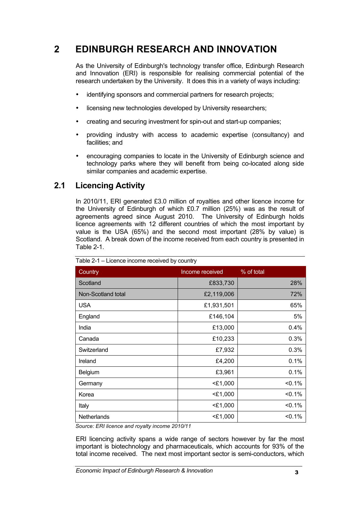# **2 EDINBURGH RESEARCH AND INNOVATION**

As the University of Edinburgh's technology transfer office, Edinburgh Research and Innovation (ERI) is responsible for realising commercial potential of the research undertaken by the University. It does this in a variety of ways including:

- identifying sponsors and commercial partners for research projects:
- licensing new technologies developed by University researchers;
- creating and securing investment for spin-out and start-up companies;
- providing industry with access to academic expertise (consultancy) and facilities; and
- encouraging companies to locate in the University of Edinburgh science and technology parks where they will benefit from being co-located along side similar companies and academic expertise.

#### **2.1 Licencing Activity**

In 2010/11, ERI generated £3.0 million of royalties and other licence income for the University of Edinburgh of which £0.7 million (25%) was as the result of agreements agreed since August 2010. The University of Edinburgh holds licence agreements with 12 different countries of which the most important by value is the USA (65%) and the second most important (28% by value) is Scotland. A break down of the income received from each country is presented in Table 2-1.

| Country            | Income received | % of total |
|--------------------|-----------------|------------|
| Scotland           | £833,730        | 28%        |
| Non-Scotland total | £2,119,006      | 72%        |
| <b>USA</b>         | £1,931,501      | 65%        |
| England            | £146,104        | 5%         |
| India              | £13,000         | 0.4%       |
| Canada             | £10,233         | 0.3%       |
| Switzerland        | £7,932          | 0.3%       |
| Ireland            | £4,200          | 0.1%       |
| Belgium            | £3,961          | 0.1%       |
| Germany            | $<$ £1,000      | $< 0.1\%$  |
| Korea              | $<$ £1,000      | < 0.1%     |
| Italy              | $<$ £1,000      | $< 0.1\%$  |
| Netherlands        | $<$ £1,000      | $< 0.1\%$  |

Table 2-1 – Licence income received by country

*Source: ERI licence and royalty income 2010/11*

ERI licencing activity spans a wide range of sectors however by far the most important is biotechnology and pharmaceuticals, which accounts for 93% of the total income received. The next most important sector is semi-conductors, which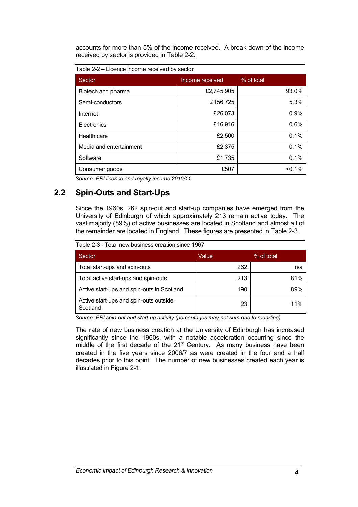accounts for more than 5% of the income received. A break-down of the income received by sector is provided in Table 2-2.

Table 2-2 – Licence income received by sector

| Sector                  | Income received | % of total |
|-------------------------|-----------------|------------|
| Biotech and pharma      | £2,745,905      | 93.0%      |
| Semi-conductors         | £156,725        | 5.3%       |
| Internet                | £26,073         | 0.9%       |
| Electronics             | £16,916         | 0.6%       |
| Health care             | £2,500          | 0.1%       |
| Media and entertainment | £2,375          | 0.1%       |
| Software                | £1,735          | 0.1%       |
| Consumer goods          | £507            | $< 0.1\%$  |

*Source: ERI licence and royalty income 2010/11*

#### **2.2 Spin-Outs and Start-Ups**

Since the 1960s, 262 spin-out and start-up companies have emerged from the University of Edinburgh of which approximately 213 remain active today. The vast majority (89%) of active businesses are located in Scotland and almost all of the remainder are located in England. These figures are presented in Table 2-3.

Table 2-3 - Total new business creation since 1967

| Sector                                             | Value | % of total |
|----------------------------------------------------|-------|------------|
| Total start-ups and spin-outs                      | 262   | n/a        |
| Total active start-ups and spin-outs               | 213   | 81%        |
| Active start-ups and spin-outs in Scotland         | 190   | 89%        |
| Active start-ups and spin-outs outside<br>Scotland | 23    | 11%        |

*Source: ERI spin-out and start-up activity (percentages may not sum due to rounding)*

The rate of new business creation at the University of Edinburgh has increased significantly since the 1960s, with a notable acceleration occurring since the middle of the first decade of the  $21<sup>st</sup>$  Century. As many business have been created in the five years since 2006/7 as were created in the four and a half decades prior to this point. The number of new businesses created each year is illustrated in Figure 2-1.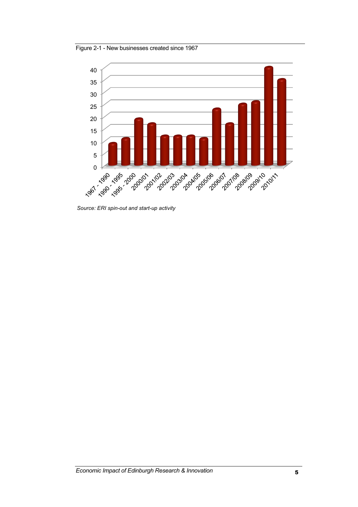Figure 2-1 - New businesses created since 1967



*Source: ERI spin-out and start-up activity*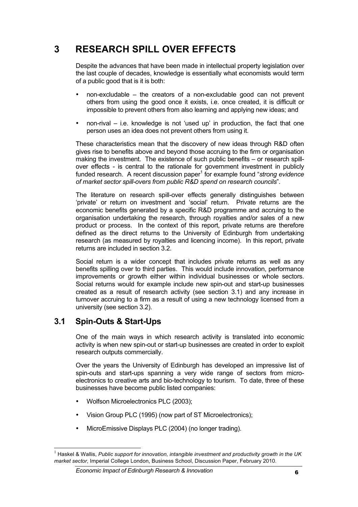# **3 RESEARCH SPILL OVER EFFECTS**

Despite the advances that have been made in intellectual property legislation over the last couple of decades, knowledge is essentially what economists would term of a public good that is it is both:

- non-excludable the creators of a non-excludable good can not prevent others from using the good once it exists, i.e. once created, it is difficult or impossible to prevent others from also learning and applying new ideas; and
- non-rival  $-$  i.e. knowledge is not 'used up' in production, the fact that one person uses an idea does not prevent others from using it.

These characteristics mean that the discovery of new ideas through R&D often gives rise to benefits above and beyond those accruing to the firm or organisation making the investment. The existence of such public benefits – or research spillover effects - is central to the rationale for government investment in publicly funded research. A recent discussion paper<sup>1</sup> for example found "*strong evidence of market sector spill-overs from public R&D spend on research councils*".

The literature on research spill-over effects generally distinguishes between 'private' or return on investment and 'social' return. Private returns are the economic benefits generated by a specific R&D programme and accruing to the organisation undertaking the research, through royalties and/or sales of a new product or process. In the context of this report, private returns are therefore defined as the direct returns to the University of Edinburgh from undertaking research (as measured by royalties and licencing income). In this report, private returns are included in section 3.2.

Social return is a wider concept that includes private returns as well as any benefits spilling over to third parties. This would include innovation, performance improvements or growth either within individual businesses or whole sectors. Social returns would for example include new spin-out and start-up businesses created as a result of research activity (see section 3.1) and any increase in turnover accruing to a firm as a result of using a new technology licensed from a university (see section 3.2).

#### **3.1 Spin-Outs & Start-Ups**

One of the main ways in which research activity is translated into economic activity is when new spin-out or start-up businesses are created in order to exploit research outputs commercially.

Over the years the University of Edinburgh has developed an impressive list of spin-outs and start-ups spanning a very wide range of sectors from microelectronics to creative arts and bio-technology to tourism. To date, three of these businesses have become public listed companies:

- Wolfson Microelectronics PLC (2003);
- Vision Group PLC (1995) (now part of ST Microelectronics);
- MicroEmissive Displays PLC (2004) (no longer trading).

<sup>&</sup>lt;sup>1</sup> Haskel & Wallis, *Public support for innovation, intangible investment and productivity growth in the UK market sector*, Imperial College London, Business School, Discussion Paper, February 2010.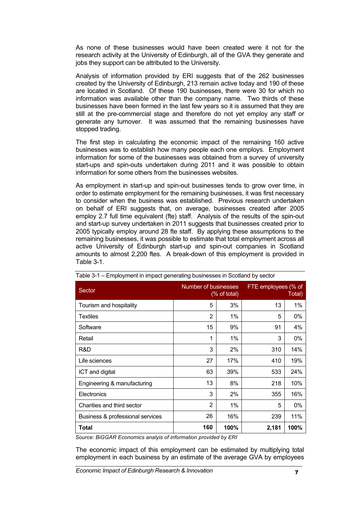As none of these businesses would have been created were it not for the research activity at the University of Edinburgh, all of the GVA they generate and jobs they support can be attributed to the University.

Analysis of information provided by ERI suggests that of the 262 businesses created by the University of Edinburgh, 213 remain active today and 190 of these are located in Scotland. Of these 190 businesses, there were 30 for which no information was available other than the company name. Two thirds of these businesses have been formed in the last few years so it is assumed that they are still at the pre-commercial stage and therefore do not yet employ any staff or generate any turnover. It was assumed that the remaining businesses have stopped trading.

The first step in calculating the economic impact of the remaining 160 active businesses was to establish how many people each one employs. Employment information for some of the businesses was obtained from a survey of university start-ups and spin-outs undertaken during 2011 and it was possible to obtain information for some others from the businesses websites.

As employment in start-up and spin-out businesses tends to grow over time, in order to estimate employment for the remaining businesses, it was first necessary to consider when the business was established. Previous research undertaken on behalf of ERI suggests that, on average, businesses created after 2005 employ 2.7 full time equivalent (fte) staff. Analysis of the results of the spin-out and start-up survey undertaken in 2011 suggests that businesses created prior to 2005 typically employ around 28 fte staff. By applying these assumptions to the remaining businesses, it was possible to estimate that total employment across all active University of Edinburgh start-up and spin-out companies in Scotland amounts to almost 2,200 ftes. A break-down of this employment is provided in Table 3-1.

| Sector                           | Number of businesses<br>(% of total) |       | FTE employees (% of<br>Total) |      |
|----------------------------------|--------------------------------------|-------|-------------------------------|------|
| Tourism and hospitality          | 5                                    | 3%    | 13                            | 1%   |
| Textiles                         | $\overline{2}$                       | $1\%$ | 5                             | 0%   |
| Software                         | 15                                   | 9%    | 91                            | 4%   |
| Retail                           | 1                                    | 1%    | 3                             | 0%   |
| R&D                              | 3                                    | 2%    | 310                           | 14%  |
| Life sciences                    | 27                                   | 17%   | 410                           | 19%  |
| ICT and digital                  | 63                                   | 39%   | 533                           | 24%  |
| Engineering & manufacturing      | 13                                   | 8%    | 218                           | 10%  |
| Electronics                      | 3                                    | 2%    | 355                           | 16%  |
| Charities and third sector       | $\overline{2}$                       | 1%    | 5                             | 0%   |
| Business & professional services | 26                                   | 16%   | 239                           | 11%  |
| Total                            | 160                                  | 100%  | 2,181                         | 100% |

| Table 3-1 – Employment in impact generating businesses in Scotland by sector |  |  |  |
|------------------------------------------------------------------------------|--|--|--|
|                                                                              |  |  |  |

*Source: BiGGAR Economics analyis of information provided by ERI*

The economic impact of this employment can be estimated by multiplying total employment in each business by an estimate of the average GVA by employees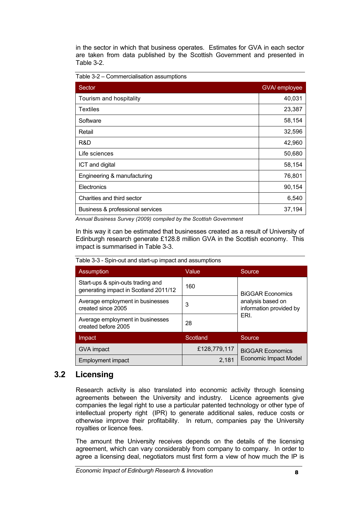in the sector in which that business operates. Estimates for GVA in each sector are taken from data published by the Scottish Government and presented in Table 3-2.

Table 3-2 – Commercialisation assumptions

| Sector                           | GVA/ employee |
|----------------------------------|---------------|
| Tourism and hospitality          | 40,031        |
| <b>Textiles</b>                  | 23,387        |
| Software                         | 58,154        |
| Retail                           | 32,596        |
| R&D                              | 42,960        |
| Life sciences                    | 50,680        |
| ICT and digital                  | 58,154        |
| Engineering & manufacturing      | 76,801        |
| Electronics                      | 90,154        |
| Charities and third sector       | 6,540         |
| Business & professional services | 37,194        |

*Annual Business Survey (2009) compiled by the Scottish Government* 

In this way it can be estimated that businesses created as a result of University of Edinburgh research generate £128.8 million GVA in the Scottish economy. This impact is summarised in Table 3-3.

| <b>Assumption</b>                                                          | Value        | Source                                       |
|----------------------------------------------------------------------------|--------------|----------------------------------------------|
| Start-ups & spin-outs trading and<br>generating impact in Scotland 2011/12 | 160          | <b>BIGGAR Economics</b>                      |
| Average employment in businesses<br>created since 2005                     | 3            | analysis based on<br>information provided by |
| Average employment in businesses<br>created before 2005                    | 28           | ERI.                                         |
| Impact                                                                     | Scotland     | Source                                       |
| GVA impact                                                                 | £128,779,117 | <b>BIGGAR Economics</b>                      |
| Employment impact                                                          | 2,181        | <b>Economic Impact Model</b>                 |

Table 3-3 - Spin-out and start-up impact and assumptions

#### **3.2 Licensing**

Research activity is also translated into economic activity through licensing agreements between the University and industry. Licence agreements give companies the legal right to use a particular patented technology or other type of intellectual property right (IPR) to generate additional sales, reduce costs or otherwise improve their profitability. In return, companies pay the University royalties or licence fees.

The amount the University receives depends on the details of the licensing agreement, which can vary considerably from company to company. In order to agree a licensing deal, negotiators must first form a view of how much the IP is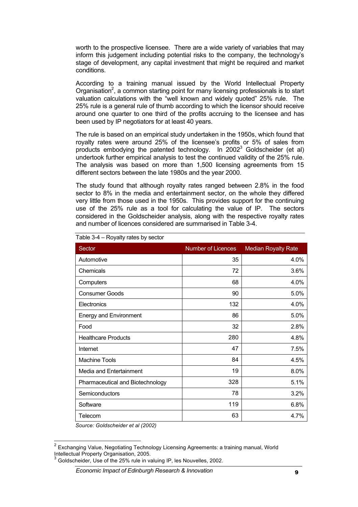worth to the prospective licensee. There are a wide variety of variables that may inform this judgement including potential risks to the company, the technology's stage of development, any capital investment that might be required and market conditions.

According to a training manual issued by the World Intellectual Property Organisation<sup>2</sup>, a common starting point for many licensing professionals is to start valuation calculations with the "well known and widely quoted" 25% rule. The 25% rule is a general rule of thumb according to which the licensor should receive around one quarter to one third of the profits accruing to the licensee and has been used by IP negotiators for at least 40 years.

The rule is based on an empirical study undertaken in the 1950s, which found that royalty rates were around 25% of the licensee's profits or 5% of sales from products embodying the patented technology. In  $2002<sup>3</sup>$  Goldscheider (et al) undertook further empirical analysis to test the continued validity of the 25% rule. The analysis was based on more than 1,500 licensing agreements from 15 different sectors between the late 1980s and the year 2000.

The study found that although royalty rates ranged between 2.8% in the food sector to 8% in the media and entertainment sector, on the whole they differed very little from those used in the 1950s. This provides support for the continuing use of the 25% rule as a tool for calculating the value of IP. The sectors considered in the Goldscheider analysis, along with the respective royalty rates and number of licences considered are summarised in Table 3-4.

| Sector                           | <b>Number of Licences</b> | <b>Median Royalty Rate</b> |
|----------------------------------|---------------------------|----------------------------|
| Automotive                       | 35                        | 4.0%                       |
| Chemicals                        | 72                        | 3.6%                       |
| Computers                        | 68                        | 4.0%                       |
| <b>Consumer Goods</b>            | 90                        | 5.0%                       |
| Electronics                      | 132                       | 4.0%                       |
| <b>Energy and Environment</b>    | 86                        | 5.0%                       |
| Food                             | 32                        | 2.8%                       |
| <b>Healthcare Products</b>       | 280                       | 4.8%                       |
| Internet                         | 47                        | 7.5%                       |
| <b>Machine Tools</b>             | 84                        | 4.5%                       |
| Media and Entertainment          | 19                        | 8.0%                       |
| Pharmaceutical and Biotechnology | 328                       | 5.1%                       |
| Semiconductors                   | 78                        | 3.2%                       |
| Software                         | 119                       | 6.8%                       |
| Telecom                          | 63                        | 4.7%                       |

Table 3-4 – Royalty rates by sector

*Source: Goldscheider et al (2002)*

<sup>&</sup>lt;sup>2</sup> Exchanging Value, Negotiating Technology Licensing Agreements: a training manual, World Intellectual Property Organisation, 2005.

<sup>3</sup> Goldscheider, Use of the 25% rule in valuing IP, les Nouvelles, 2002.

**Economic Impact of Edinburgh Research & Innovation**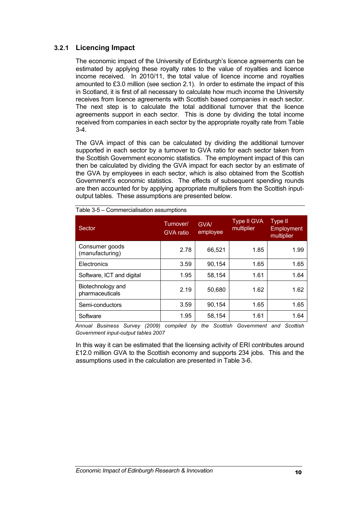#### **3.2.1 Licencing Impact**

The economic impact of the University of Edinburgh's licence agreements can be estimated by applying these royalty rates to the value of royalties and licence income received. In 2010/11, the total value of licence income and royalties amounted to £3.0 million (see section 2.1). In order to estimate the impact of this in Scotland, it is first of all necessary to calculate how much income the University receives from licence agreements with Scottish based companies in each sector. The next step is to calculate the total additional turnover that the licence agreements support in each sector. This is done by dividing the total income received from companies in each sector by the appropriate royalty rate from Table 3-4.

The GVA impact of this can be calculated by dividing the additional turnover supported in each sector by a turnover to GVA ratio for each sector taken from the Scottish Government economic statistics. The employment impact of this can then be calculated by dividing the GVA impact for each sector by an estimate of the GVA by employees in each sector, which is also obtained from the Scottish Government's economic statistics. The effects of subsequent spending rounds are then accounted for by applying appropriate multipliers from the Scottish inputoutput tables. These assumptions are presented below.

| Sector                               | Turnover/<br><b>GVA</b> ratio | <b>GVA/</b><br>employee | <b>Type II GVA</b><br>multiplier | Type II<br>Employment<br>multiplier |
|--------------------------------------|-------------------------------|-------------------------|----------------------------------|-------------------------------------|
| Consumer goods<br>(manufacturing)    | 2.78                          | 66,521                  | 1.85                             | 1.99                                |
| Electronics                          | 3.59                          | 90,154                  | 1.65                             | 1.65                                |
| Software, ICT and digital            | 1.95                          | 58,154                  | 1.61                             | 1.64                                |
| Biotechnology and<br>pharmaceuticals | 2.19                          | 50,680                  | 1.62                             | 1.62                                |
| Semi-conductors                      | 3.59                          | 90,154                  | 1.65                             | 1.65                                |
| Software                             | 1.95                          | 58,154                  | 1.61                             | 1.64                                |

Table 3-5 – Commercialisation assumptions

*Annual Business Survey (2009) compiled by the Scottish Government and Scottish Government input-output tables 2007*

In this way it can be estimated that the licensing activity of ERI contributes around £12.0 million GVA to the Scottish economy and supports 234 jobs. This and the assumptions used in the calculation are presented in Table 3-6.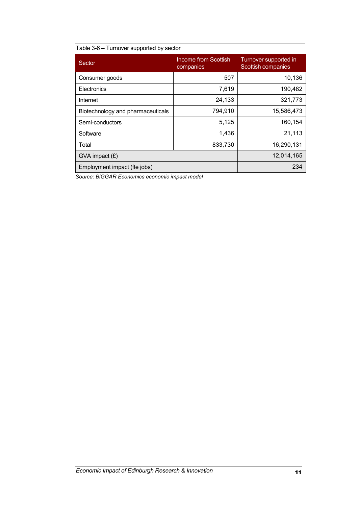#### Table 3-6 – Turnover supported by sector

| Sector                            | Income from Scottish<br>companies | Turnover supported in<br>Scottish companies |
|-----------------------------------|-----------------------------------|---------------------------------------------|
| Consumer goods                    | 507                               | 10,136                                      |
| Electronics                       | 7,619                             | 190,482                                     |
| Internet                          | 24,133                            | 321,773                                     |
| Biotechnology and pharmaceuticals | 794,910                           | 15,586,473                                  |
| Semi-conductors                   | 5,125                             | 160,154                                     |
| Software                          | 1,436                             | 21,113                                      |
| Total                             | 833,730                           | 16,290,131                                  |
| $GVA$ impact $(E)$                |                                   | 12,014,165                                  |
| Employment impact (fte jobs)      |                                   | 234                                         |

*Source: BiGGAR Economics economic impact model*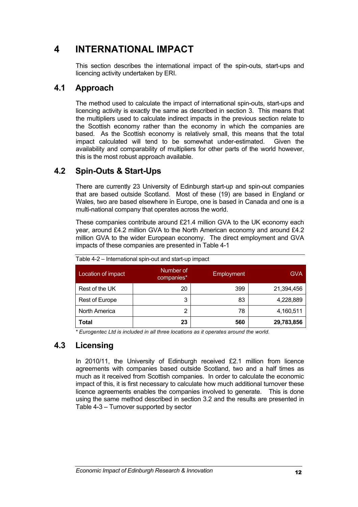# **4 INTERNATIONAL IMPACT**

This section describes the international impact of the spin-outs, start-ups and licencing activity undertaken by ERI.

#### **4.1 Approach**

The method used to calculate the impact of international spin-outs, start-ups and licencing activity is exactly the same as described in section 3. This means that the multipliers used to calculate indirect impacts in the previous section relate to the Scottish economy rather than the economy in which the companies are based. As the Scottish economy is relatively small, this means that the total impact calculated will tend to be somewhat under-estimated. Given the availability and comparability of multipliers for other parts of the world however, this is the most robust approach available.

#### **4.2 Spin-Outs & Start-Ups**

There are currently 23 University of Edinburgh start-up and spin-out companies that are based outside Scotland. Most of these (19) are based in England or Wales, two are based elsewhere in Europe, one is based in Canada and one is a multi-national company that operates across the world.

These companies contribute around £21.4 million GVA to the UK economy each year, around £4.2 million GVA to the North American economy and around £4.2 million GVA to the wider European economy. The direct employment and GVA impacts of these companies are presented in Table 4-1

| Location of impact | Number of<br>companies* | Employment | GVA.       |
|--------------------|-------------------------|------------|------------|
| Rest of the UK     | 20                      | 399        | 21,394,456 |
| Rest of Europe     | 3                       | 83         | 4,228,889  |
| North America      | 2                       | 78         | 4,160,511  |
| <b>Total</b>       | 23                      | 560        | 29,783,856 |

*\* Eurogentec Ltd is included in all three locations as it operates around the world.*

#### **4.3 Licensing**

In 2010/11, the University of Edinburgh received £2.1 million from licence agreements with companies based outside Scotland, two and a half times as much as it received from Scottish companies. In order to calculate the economic impact of this, it is first necessary to calculate how much additional turnover these licence agreements enables the companies involved to generate. This is done using the same method described in section 3.2 and the results are presented in Table 4-3 – Turnover supported by sector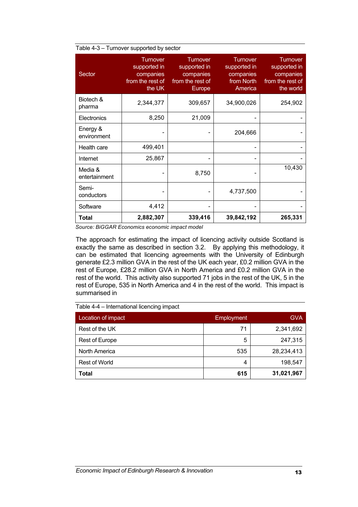| Sector                   | <b>Turnover</b><br>supported in<br>companies<br>from the rest of<br>the UK | <b>Turnover</b><br>supported in<br>companies<br>from the rest of<br><b>Europe</b> | <b>Turnover</b><br>supported in<br>companies<br>from North<br>America | <b>Turnover</b><br>supported in<br>companies<br>from the rest of<br>the world |
|--------------------------|----------------------------------------------------------------------------|-----------------------------------------------------------------------------------|-----------------------------------------------------------------------|-------------------------------------------------------------------------------|
| Biotech &<br>pharma      | 2,344,377                                                                  | 309,657                                                                           | 34,900,026                                                            | 254,902                                                                       |
| Electronics              | 8,250                                                                      | 21,009                                                                            |                                                                       |                                                                               |
| Energy &<br>environment  |                                                                            |                                                                                   | 204,666                                                               |                                                                               |
| Health care              | 499,401                                                                    |                                                                                   | $\qquad \qquad \blacksquare$                                          |                                                                               |
| Internet                 | 25,867                                                                     |                                                                                   |                                                                       |                                                                               |
| Media &<br>entertainment |                                                                            | 8,750                                                                             |                                                                       | 10,430                                                                        |
| Semi-<br>conductors      |                                                                            |                                                                                   | 4,737,500                                                             |                                                                               |
| Software                 | 4,412                                                                      |                                                                                   |                                                                       |                                                                               |
| Total                    | 2,882,307                                                                  | 339,416                                                                           | 39,842,192                                                            | 265,331                                                                       |

#### Table 4-3 – Turnover supported by sector

*Source: BiGGAR Economics economic impact model*

The approach for estimating the impact of licencing activity outside Scotland is exactly the same as described in section 3.2. By applying this methodology, it can be estimated that licencing agreements with the University of Edinburgh generate £2.3 million GVA in the rest of the UK each year, £0.2 million GVA in the rest of Europe, £28.2 million GVA in North America and £0.2 million GVA in the rest of the world. This activity also supported 71 jobs in the rest of the UK, 5 in the rest of Europe, 535 in North America and 4 in the rest of the world. This impact is summarised in

| Location of impact   | Employment | <b>GVA</b> |
|----------------------|------------|------------|
| Rest of the UK       | 71         | 2,341,692  |
| Rest of Europe       | 5          | 247,315    |
| North America        | 535        | 28,234,413 |
| <b>Rest of World</b> | 4          | 198,547    |
| <b>Total</b>         | 615        | 31,021,967 |

Table 4-4 – International licencing impact